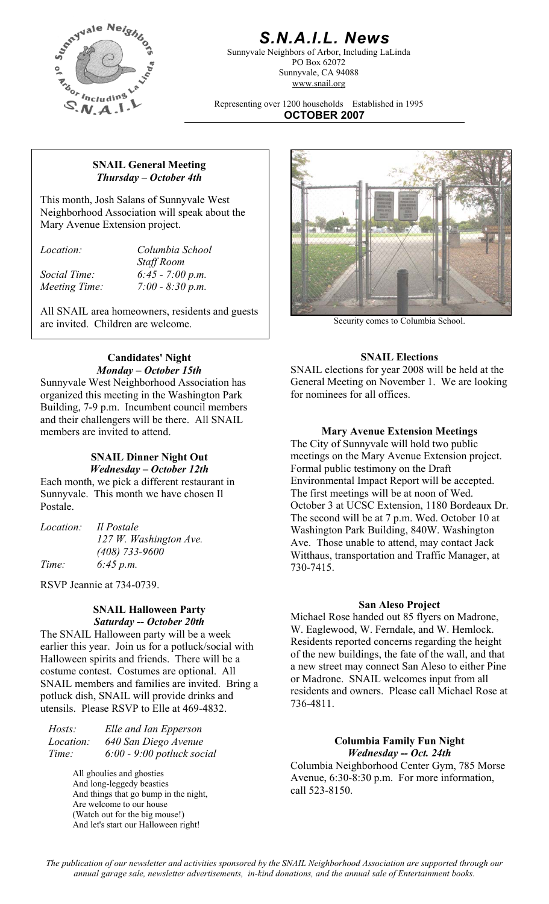

## *S.N.A.I.L. News*

Sunnyvale Neighbors of Arbor, Including LaLinda PO Box 62072 Sunnyvale, CA 94088 www.snail.org

Representing over 1200 households Established in 1995 **OCTOBER 2007**

#### **SNAIL General Meeting**  *Thursday – October 4th*

This month, Josh Salans of Sunnyvale West Neighborhood Association will speak about the Mary Avenue Extension project.

*Location: Columbia School* 

 *Staff Room Social Time: 6:45 - 7:00 p.m. Meeting Time: 7:00 - 8:30 p.m.* 

All SNAIL area homeowners, residents and guests are invited. Children are welcome. Security comes to Columbia School.

# **Candidates' Night SNAIL Elections**

Sunnyvale West Neighborhood Association has organized this meeting in the Washington Park Building, 7-9 p.m. Incumbent council members and their challengers will be there. All SNAIL members are invited to attend. **Mary Avenue Extension Meetings** 

#### **SNAIL Dinner Night Out**  *Wednesday – October 12th*

Each month, we pick a different restaurant in Sunnyvale. This month we have chosen Il Postale.

|       | <i>Location: Il Postale</i> |
|-------|-----------------------------|
|       | 127 W. Washington Ave.      |
|       | $(408)$ 733-9600            |
| Time: | 6:45 p.m.                   |

RSVP Jeannie at 734-0739.

# **San Aleso Project SNAIL Halloween Party**

The SNAIL Halloween party will be a week earlier this year. Join us for a potluck/social with Halloween spirits and friends. There will be a costume contest. Costumes are optional. All SNAIL members and families are invited. Bring a potluck dish, SNAIL will provide drinks and utensils. Please RSVP to Elle at 469-4832.

*Hosts: Elle and Ian Epperson Location: 640 San Diego Avenue Time: 6:00 - 9:00 potluck social* 

> All ghoulies and ghosties And long-leggedy beasties And things that go bump in the night, Are welcome to our house (Watch out for the big mouse!) And let's start our Halloween right!



*Monday – October 15th* SNAIL elections for year 2008 will be held at the General Meeting on November 1. We are looking for nominees for all offices.

The City of Sunnyvale will hold two public meetings on the Mary Avenue Extension project. Formal public testimony on the Draft Environmental Impact Report will be accepted. The first meetings will be at noon of Wed. October 3 at UCSC Extension, 1180 Bordeaux Dr. The second will be at 7 p.m. Wed. October 10 at Washington Park Building, 840W. Washington Ave. Those unable to attend, may contact Jack Witthaus, transportation and Traffic Manager, at 730-7415.

SENTE Handween Party<br>
Saturday -- October 20th<br>
Michael Rose handed out 85 flyers on Madrone, W. Eaglewood, W. Ferndale, and W. Hemlock. Residents reported concerns regarding the height of the new buildings, the fate of the wall, and that a new street may connect San Aleso to either Pine or Madrone. SNAIL welcomes input from all residents and owners. Please call Michael Rose at 736-4811.

#### **Columbia Family Fun Night**  *Wednesday -- Oct. 24th*

Columbia Neighborhood Center Gym, 785 Morse Avenue, 6:30-8:30 p.m. For more information, call 523-8150.

*The publication of our newsletter and activities sponsored by the SNAIL Neighborhood Association are supported through our annual garage sale, newsletter advertisements, in-kind donations, and the annual sale of Entertainment books.*